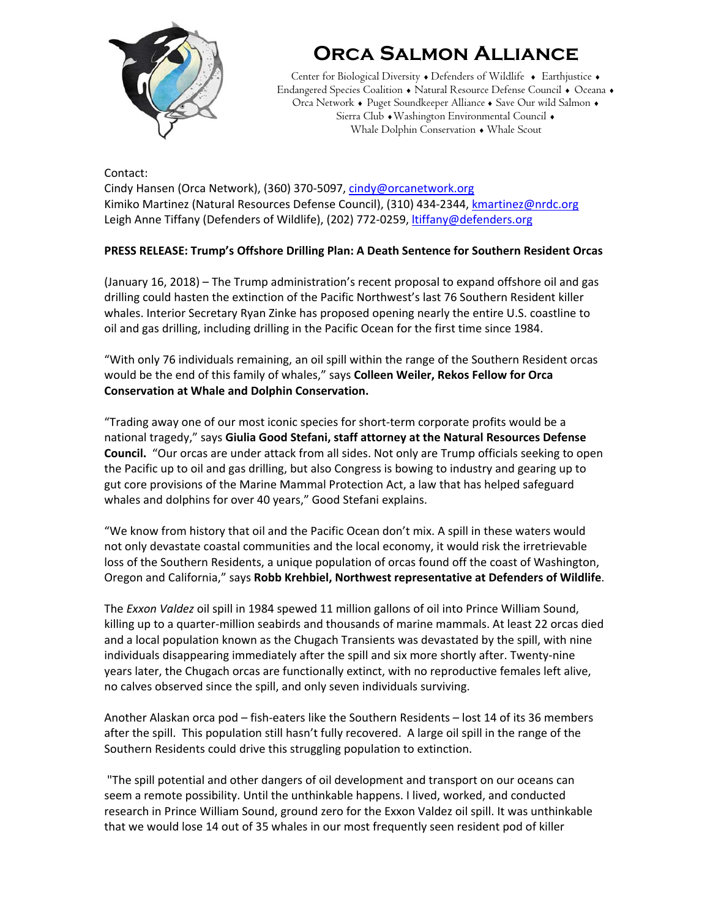

## **Orca Salmon Alliance**

Center for Biological Diversity . Defenders of Wildlife . Earthjustice . Endangered Species Coalition . Natural Resource Defense Council . Oceana . Orca Network • Puget Soundkeeper Alliance • Save Our wild Salmon • Sierra Club • Washington Environmental Council • Whale Dolphin Conservation • Whale Scout

Contact: Cindy Hansen (Orca Network), (360) 370‐5097, cindy@orcanetwork.org Kimiko Martinez (Natural Resources Defense Council), (310) 434‐2344, kmartinez@nrdc.org Leigh Anne Tiffany (Defenders of Wildlife), (202) 772-0259, ltiffany@defenders.org

## **PRESS RELEASE: Trump's Offshore Drilling Plan: A Death Sentence for Southern Resident Orcas**

(January 16, 2018) – The Trump administration's recent proposal to expand offshore oil and gas drilling could hasten the extinction of the Pacific Northwest's last 76 Southern Resident killer whales. Interior Secretary Ryan Zinke has proposed opening nearly the entire U.S. coastline to oil and gas drilling, including drilling in the Pacific Ocean for the first time since 1984.

"With only 76 individuals remaining, an oil spill within the range of the Southern Resident orcas would be the end of this family of whales," says **Colleen Weiler, Rekos Fellow for Orca Conservation at Whale and Dolphin Conservation.**

"Trading away one of our most iconic species for short‐term corporate profits would be a national tragedy," says **Giulia Good Stefani, staff attorney at the Natural Resources Defense Council.** "Our orcas are under attack from all sides. Not only are Trump officials seeking to open the Pacific up to oil and gas drilling, but also Congress is bowing to industry and gearing up to gut core provisions of the Marine Mammal Protection Act, a law that has helped safeguard whales and dolphins for over 40 years," Good Stefani explains.

"We know from history that oil and the Pacific Ocean don't mix. A spill in these waters would not only devastate coastal communities and the local economy, it would risk the irretrievable loss of the Southern Residents, a unique population of orcas found off the coast of Washington, Oregon and California," says **Robb Krehbiel, Northwest representative at Defenders of Wildlife**.

The *Exxon Valdez* oil spill in 1984 spewed 11 million gallons of oil into Prince William Sound, killing up to a quarter‐million seabirds and thousands of marine mammals. At least 22 orcas died and a local population known as the Chugach Transients was devastated by the spill, with nine individuals disappearing immediately after the spill and six more shortly after. Twenty‐nine years later, the Chugach orcas are functionally extinct, with no reproductive females left alive, no calves observed since the spill, and only seven individuals surviving.

Another Alaskan orca pod – fish‐eaters like the Southern Residents – lost 14 of its 36 members after the spill. This population still hasn't fully recovered. A large oil spill in the range of the Southern Residents could drive this struggling population to extinction.

"The spill potential and other dangers of oil development and transport on our oceans can seem a remote possibility. Until the unthinkable happens. I lived, worked, and conducted research in Prince William Sound, ground zero for the Exxon Valdez oil spill. It was unthinkable that we would lose 14 out of 35 whales in our most frequently seen resident pod of killer